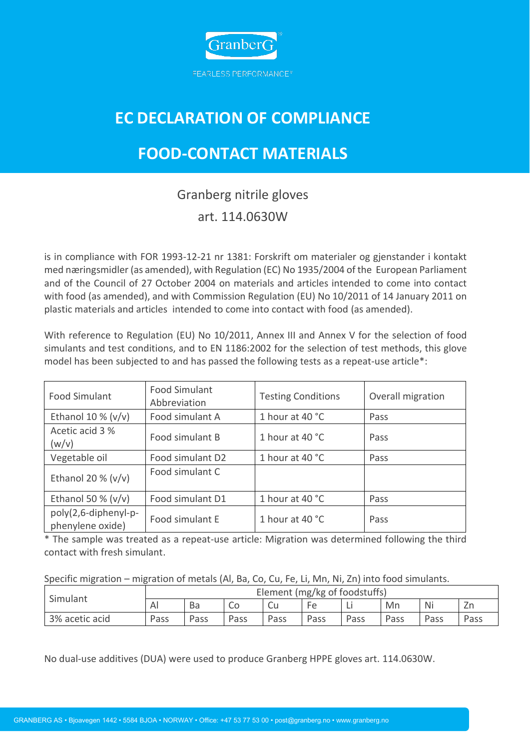

## **EC DECLARATION OF COMPLIANCE**

## **FOOD-CONTACT MATERIALS**

## Granberg nitrile gloves art. 114.0630W

is in compliance with FOR 1993-12-21 nr 1381: Forskrift om materialer og gjenstander i kontakt med næringsmidler (as amended), with Regulation (EC) No 1935/2004 of the European Parliament and of the Council of 27 October 2004 on materials and articles intended to come into contact with food (as amended), and with Commission Regulation (EU) No 10/2011 of 14 January 2011 on plastic materials and articles intended to come into contact with food (as amended).

With reference to Regulation (EU) No 10/2011, Annex III and Annex V for the selection of food simulants and test conditions, and to EN 1186:2002 for the selection of test methods, this glove model has been subjected to and has passed the following tests as a repeat-use article\*:

| <b>Food Simulant</b>                     | <b>Food Simulant</b><br>Abbreviation | <b>Testing Conditions</b> | Overall migration |  |
|------------------------------------------|--------------------------------------|---------------------------|-------------------|--|
| Ethanol 10 % $(v/v)$                     | Food simulant A                      | 1 hour at 40 °C           | Pass              |  |
| Acetic acid 3 %<br>(w/v)                 | Food simulant B                      | 1 hour at 40 °C           | Pass              |  |
| Vegetable oil                            | Food simulant D2                     | 1 hour at 40 °C           | Pass              |  |
| Ethanol 20 % $(v/v)$                     | Food simulant C                      |                           |                   |  |
| Ethanol 50 % $(v/v)$                     | Food simulant D1                     | 1 hour at 40 °C           | Pass              |  |
| poly(2,6-diphenyl-p-<br>phenylene oxide) | Food simulant E                      | 1 hour at 40 °C           | Pass              |  |

\* The sample was treated as a repeat-use article: Migration was determined following the third contact with fresh simulant.

Specific migration – migration of metals (Al, Ba, Co, Cu, Fe, Li, Mn, Ni, Zn) into food simulants.

| Simulant       | Element (mg/kg of foodstuffs) |      |      |      |      |      |      |      |      |
|----------------|-------------------------------|------|------|------|------|------|------|------|------|
|                | AI                            | Ba   | CС   | Cu   | Fe   | Ц    | Mn   | Ni   | ∠n   |
| 3% acetic acid | Pass                          | Pass | Pass | Pass | Pass | Pass | Pass | Pass | Pass |

No dual-use additives (DUA) were used to produce Granberg HPPE gloves art. 114.0630W.